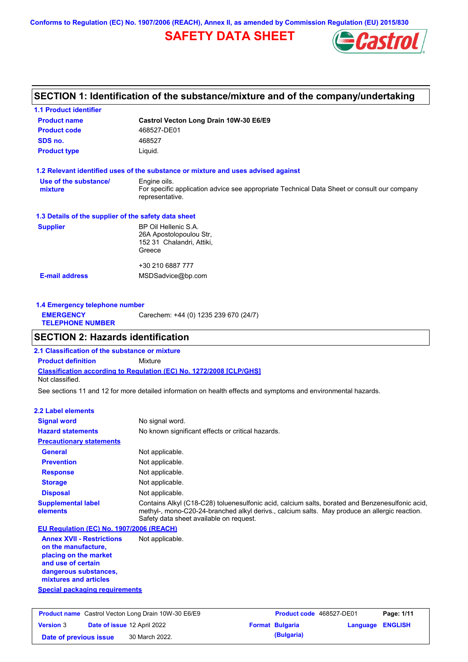**Conforms to Regulation (EC) No. 1907/2006 (REACH), Annex II, as amended by Commission Regulation (EU) 2015/830**

## **SAFETY DATA SHEET**



## **SECTION 1: Identification of the substance/mixture and of the company/undertaking**

| <b>1.1 Product identifier</b>                        |                                                                                                                |
|------------------------------------------------------|----------------------------------------------------------------------------------------------------------------|
| <b>Product name</b>                                  | Castrol Vecton Long Drain 10W-30 E6/E9                                                                         |
| <b>Product code</b>                                  | 468527-DE01                                                                                                    |
| SDS no.                                              | 468527                                                                                                         |
| <b>Product type</b>                                  | Liquid.                                                                                                        |
|                                                      | 1.2 Relevant identified uses of the substance or mixture and uses advised against                              |
| Use of the substance/                                | Engine oils.                                                                                                   |
| mixture                                              | For specific application advice see appropriate Technical Data Sheet or consult our company<br>representative. |
| 1.3 Details of the supplier of the safety data sheet |                                                                                                                |
| <b>Supplier</b>                                      | BP Oil Hellenic S.A.                                                                                           |
|                                                      | 26A Apostolopoulou Str,                                                                                        |
|                                                      | 152 31 Chalandri, Attiki,                                                                                      |
|                                                      | Greece                                                                                                         |
|                                                      | +30 210 6887 777                                                                                               |
| <b>E-mail address</b>                                | MSDSadvice@bp.com                                                                                              |
|                                                      |                                                                                                                |
|                                                      |                                                                                                                |

| 1.4 Emergency telephone number              |                                       |
|---------------------------------------------|---------------------------------------|
| <b>EMERGENCY</b><br><b>TELEPHONE NUMBER</b> | Carechem: +44 (0) 1235 239 670 (24/7) |

## **SECTION 2: Hazards identification**

**Classification according to Regulation (EC) No. 1272/2008 [CLP/GHS] 2.1 Classification of the substance or mixture Product definition** Mixture Not classified.

See sections 11 and 12 for more detailed information on health effects and symptoms and environmental hazards.

#### **2.2 Label elements**

| <b>Signal word</b>                                                                                                                                       | No signal word.                                                                                                                                                                                                                             |
|----------------------------------------------------------------------------------------------------------------------------------------------------------|---------------------------------------------------------------------------------------------------------------------------------------------------------------------------------------------------------------------------------------------|
| <b>Hazard statements</b>                                                                                                                                 | No known significant effects or critical hazards.                                                                                                                                                                                           |
| <b>Precautionary statements</b>                                                                                                                          |                                                                                                                                                                                                                                             |
| <b>General</b>                                                                                                                                           | Not applicable.                                                                                                                                                                                                                             |
| <b>Prevention</b>                                                                                                                                        | Not applicable.                                                                                                                                                                                                                             |
| <b>Response</b>                                                                                                                                          | Not applicable.                                                                                                                                                                                                                             |
| <b>Storage</b>                                                                                                                                           | Not applicable.                                                                                                                                                                                                                             |
| <b>Disposal</b>                                                                                                                                          | Not applicable.                                                                                                                                                                                                                             |
| <b>Supplemental label</b><br>elements                                                                                                                    | Contains Alkyl (C18-C28) toluenesulfonic acid, calcium salts, borated and Benzenesulfonic acid,<br>methyl-, mono-C20-24-branched alkyl derivs., calcium salts. May produce an allergic reaction.<br>Safety data sheet available on request. |
| EU Regulation (EC) No. 1907/2006 (REACH)                                                                                                                 |                                                                                                                                                                                                                                             |
| <b>Annex XVII - Restrictions</b><br>on the manufacture.<br>placing on the market<br>and use of certain<br>dangerous substances,<br>mixtures and articles | Not applicable.                                                                                                                                                                                                                             |

**Special packaging requirements**

| <b>Product name</b> Castrol Vecton Long Drain 10W-30 E6/E9 |  |                             | <b>Product code</b> 468527-DE01 |                        | Page: 1/11       |  |
|------------------------------------------------------------|--|-----------------------------|---------------------------------|------------------------|------------------|--|
| <b>Version 3</b>                                           |  | Date of issue 12 April 2022 |                                 | <b>Format Bulgaria</b> | Language ENGLISH |  |
| Date of previous issue                                     |  | 30 March 2022.              |                                 | (Bulgaria)             |                  |  |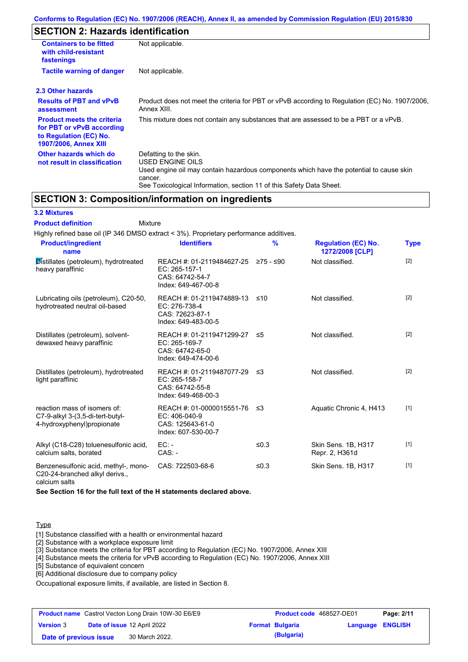## **SECTION 2: Hazards identification**

| <b>Containers to be fitted</b><br>with child-resistant<br>fastenings                                                     | Not applicable.                                                                                                                                                                                                          |
|--------------------------------------------------------------------------------------------------------------------------|--------------------------------------------------------------------------------------------------------------------------------------------------------------------------------------------------------------------------|
| <b>Tactile warning of danger</b>                                                                                         | Not applicable.                                                                                                                                                                                                          |
| 2.3 Other hazards                                                                                                        |                                                                                                                                                                                                                          |
| <b>Results of PBT and vPvB</b><br>assessment                                                                             | Product does not meet the criteria for PBT or vPvB according to Regulation (EC) No. 1907/2006,<br>Annex XIII.                                                                                                            |
| <b>Product meets the criteria</b><br>for PBT or vPvB according<br>to Regulation (EC) No.<br><b>1907/2006, Annex XIII</b> | This mixture does not contain any substances that are assessed to be a PBT or a vPvB.                                                                                                                                    |
| Other hazards which do<br>not result in classification                                                                   | Defatting to the skin.<br>USED ENGINE OILS<br>Used engine oil may contain hazardous components which have the potential to cause skin<br>cancer.<br>See Toxicological Information, section 11 of this Safety Data Sheet. |

## **SECTION 3: Composition/information on ingredients**

Mixture

#### **3.2 Mixtures**

**Product definition**

| Highly refined base oil (IP 346 DMSO extract < 3%). Proprietary performance additives.         |                                                                                                |               |                                               |             |
|------------------------------------------------------------------------------------------------|------------------------------------------------------------------------------------------------|---------------|-----------------------------------------------|-------------|
| <b>Product/ingredient</b><br>name                                                              | <b>Identifiers</b>                                                                             | $\frac{9}{6}$ | <b>Regulation (EC) No.</b><br>1272/2008 [CLP] | <b>Type</b> |
| Distillates (petroleum), hydrotreated<br>heavy paraffinic                                      | REACH #: 01-2119484627-25 ≥75 - ≤90<br>EC: 265-157-1<br>CAS: 64742-54-7<br>Index: 649-467-00-8 |               | Not classified.                               | $[2]$       |
| Lubricating oils (petroleum), C20-50,<br>hydrotreated neutral oil-based                        | REACH #: 01-2119474889-13<br>EC: 276-738-4<br>CAS: 72623-87-1<br>Index: 649-483-00-5           | ≤10           | Not classified.                               | $[2]$       |
| Distillates (petroleum), solvent-<br>dewaxed heavy paraffinic                                  | REACH #: 01-2119471299-27 ≤5<br>EC: 265-169-7<br>CAS: 64742-65-0<br>Index: 649-474-00-6        |               | Not classified.                               | $[2]$       |
| Distillates (petroleum), hydrotreated<br>light paraffinic                                      | REACH #: 01-2119487077-29<br>EC: 265-158-7<br>CAS: 64742-55-8<br>Index: 649-468-00-3           | -≤3           | Not classified.                               | $[2]$       |
| reaction mass of isomers of:<br>C7-9-alkyl 3-(3,5-di-tert-butyl-<br>4-hydroxyphenyl)propionate | REACH #: 01-0000015551-76<br>EC: 406-040-9<br>CAS: 125643-61-0<br>Index: 607-530-00-7          | ≤3            | Aquatic Chronic 4, H413                       | $[1]$       |
| Alkyl (C18-C28) toluenesulfonic acid,<br>calcium salts, borated                                | $EC: -$<br>$CAS: -$                                                                            | ≤0.3          | Skin Sens. 1B, H317<br>Repr. 2, H361d         | $[1]$       |
| Benzenesulfonic acid, methyl-, mono-<br>C20-24-branched alkyl derivs.,<br>calcium salts        | CAS: 722503-68-6                                                                               | ≤ $0.3$       | Skin Sens. 1B, H317                           | $[1]$       |

**See Section 16 for the full text of the H statements declared above.**

#### **Type**

[1] Substance classified with a health or environmental hazard

[2] Substance with a workplace exposure limit

[3] Substance meets the criteria for PBT according to Regulation (EC) No. 1907/2006, Annex XIII

[4] Substance meets the criteria for vPvB according to Regulation (EC) No. 1907/2006, Annex XIII

[5] Substance of equivalent concern

[6] Additional disclosure due to company policy

Occupational exposure limits, if available, are listed in Section 8.

|                        | <b>Product name</b> Castrol Vecton Long Drain 10W-30 E6/E9 | Product code 468527-DE01 |                  | Page: 2/11 |
|------------------------|------------------------------------------------------------|--------------------------|------------------|------------|
| <b>Version 3</b>       | <b>Date of issue 12 April 2022</b>                         | <b>Format Bulgaria</b>   | Language ENGLISH |            |
| Date of previous issue | 30 March 2022.                                             | (Bulgaria)               |                  |            |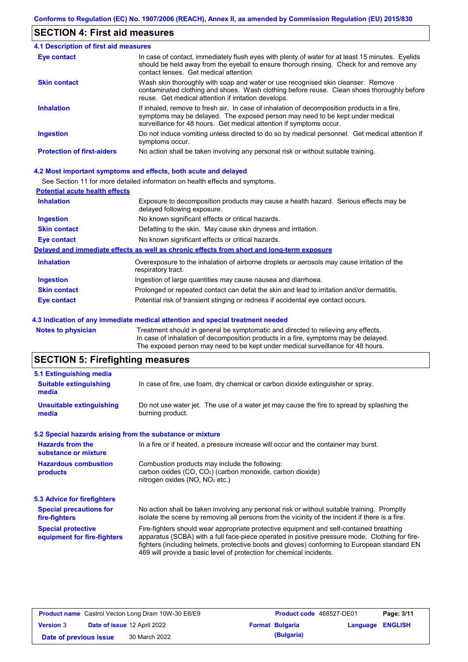## **SECTION 4: First aid measures**

| 4.1 Description of first aid measures |                                                                                                                                                                                                                                                     |
|---------------------------------------|-----------------------------------------------------------------------------------------------------------------------------------------------------------------------------------------------------------------------------------------------------|
| Eye contact                           | In case of contact, immediately flush eyes with plenty of water for at least 15 minutes. Eyelids<br>should be held away from the eyeball to ensure thorough rinsing. Check for and remove any<br>contact lenses. Get medical attention.             |
| <b>Skin contact</b>                   | Wash skin thoroughly with soap and water or use recognised skin cleanser. Remove<br>contaminated clothing and shoes. Wash clothing before reuse. Clean shoes thoroughly before<br>reuse. Get medical attention if irritation develops.              |
| <b>Inhalation</b>                     | If inhaled, remove to fresh air. In case of inhalation of decomposition products in a fire,<br>symptoms may be delayed. The exposed person may need to be kept under medical<br>surveillance for 48 hours. Get medical attention if symptoms occur. |
| <b>Ingestion</b>                      | Do not induce vomiting unless directed to do so by medical personnel. Get medical attention if<br>symptoms occur.                                                                                                                                   |
| <b>Protection of first-aiders</b>     | No action shall be taken involving any personal risk or without suitable training.                                                                                                                                                                  |

#### **4.2 Most important symptoms and effects, both acute and delayed**

See Section 11 for more detailed information on health effects and symptoms.

| <b>Potential acute health effects</b> |                                                                                                                     |
|---------------------------------------|---------------------------------------------------------------------------------------------------------------------|
| <b>Inhalation</b>                     | Exposure to decomposition products may cause a health hazard. Serious effects may be<br>delayed following exposure. |
| <b>Ingestion</b>                      | No known significant effects or critical hazards.                                                                   |
| <b>Skin contact</b>                   | Defatting to the skin. May cause skin dryness and irritation.                                                       |
| <b>Eye contact</b>                    | No known significant effects or critical hazards.                                                                   |
|                                       | Delayed and immediate effects as well as chronic effects from short and long-term exposure                          |
| <b>Inhalation</b>                     | Overexposure to the inhalation of airborne droplets or aerosols may cause irritation of the<br>respiratory tract.   |
| <b>Ingestion</b>                      | Ingestion of large quantities may cause nausea and diarrhoea.                                                       |
| <b>Skin contact</b>                   | Prolonged or repeated contact can defat the skin and lead to irritation and/or dermatitis.                          |
| Eye contact                           | Potential risk of transient stinging or redness if accidental eye contact occurs.                                   |
|                                       |                                                                                                                     |

#### **4.3 Indication of any immediate medical attention and special treatment needed**

**Notes to physician** Treatment should in general be symptomatic and directed to relieving any effects. In case of inhalation of decomposition products in a fire, symptoms may be delayed. The exposed person may need to be kept under medical surveillance for 48 hours.

# **SECTION 5: Firefighting measures**

| 5.1 Extinguishing media                                   |                                                                                                                                                                                                                                                                                                                                                                   |  |  |  |  |
|-----------------------------------------------------------|-------------------------------------------------------------------------------------------------------------------------------------------------------------------------------------------------------------------------------------------------------------------------------------------------------------------------------------------------------------------|--|--|--|--|
| <b>Suitable extinguishing</b><br>media                    | In case of fire, use foam, dry chemical or carbon dioxide extinguisher or spray.                                                                                                                                                                                                                                                                                  |  |  |  |  |
| <b>Unsuitable extinguishing</b><br>media                  | Do not use water jet. The use of a water jet may cause the fire to spread by splashing the<br>burning product.                                                                                                                                                                                                                                                    |  |  |  |  |
| 5.2 Special hazards arising from the substance or mixture |                                                                                                                                                                                                                                                                                                                                                                   |  |  |  |  |
| <b>Hazards from the</b><br>substance or mixture           | In a fire or if heated, a pressure increase will occur and the container may burst.                                                                                                                                                                                                                                                                               |  |  |  |  |
| <b>Hazardous combustion</b><br>products                   | Combustion products may include the following:<br>carbon oxides $(CO, CO2)$ (carbon monoxide, carbon dioxide)<br>nitrogen oxides ( $NO$ , $NO2$ etc.)                                                                                                                                                                                                             |  |  |  |  |
| 5.3 Advice for firefighters                               |                                                                                                                                                                                                                                                                                                                                                                   |  |  |  |  |
| <b>Special precautions for</b><br>fire-fighters           | No action shall be taken involving any personal risk or without suitable training. Promptly<br>isolate the scene by removing all persons from the vicinity of the incident if there is a fire.                                                                                                                                                                    |  |  |  |  |
| <b>Special protective</b><br>equipment for fire-fighters  | Fire-fighters should wear appropriate protective equipment and self-contained breathing<br>apparatus (SCBA) with a full face-piece operated in positive pressure mode. Clothing for fire-<br>fighters (including helmets, protective boots and gloves) conforming to European standard EN<br>469 will provide a basic level of protection for chemical incidents. |  |  |  |  |

| <b>Product name</b> Castrol Vecton Long Drain 10W-30 E6/E9 |  | <b>Product code</b> 468527-DE01 |  | Page: 3/11             |                         |  |
|------------------------------------------------------------|--|---------------------------------|--|------------------------|-------------------------|--|
| <b>Version 3</b>                                           |  | Date of issue 12 April 2022     |  | <b>Format Bulgaria</b> | <b>Language ENGLISH</b> |  |
| Date of previous issue                                     |  | 30 March 2022.                  |  | (Bulgaria)             |                         |  |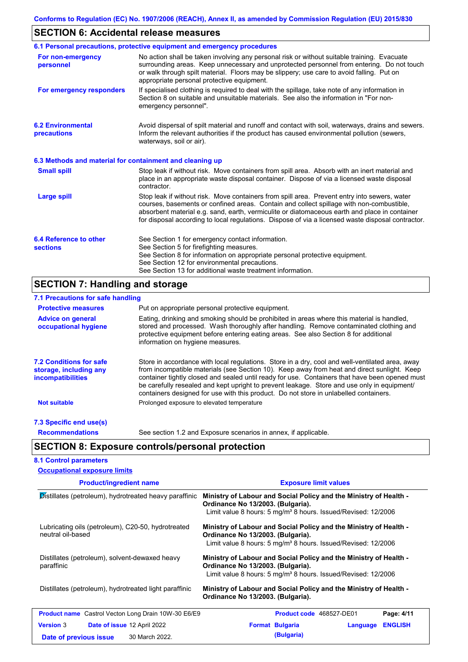## **SECTION 6: Accidental release measures**

|                                                          | 6.1 Personal precautions, protective equipment and emergency procedures                                                                                                                                                                                                                                                                                                                        |
|----------------------------------------------------------|------------------------------------------------------------------------------------------------------------------------------------------------------------------------------------------------------------------------------------------------------------------------------------------------------------------------------------------------------------------------------------------------|
| For non-emergency<br>personnel                           | No action shall be taken involving any personal risk or without suitable training. Evacuate<br>surrounding areas. Keep unnecessary and unprotected personnel from entering. Do not touch<br>or walk through spilt material. Floors may be slippery; use care to avoid falling. Put on<br>appropriate personal protective equipment.                                                            |
| For emergency responders                                 | If specialised clothing is required to deal with the spillage, take note of any information in<br>Section 8 on suitable and unsuitable materials. See also the information in "For non-<br>emergency personnel".                                                                                                                                                                               |
| <b>6.2 Environmental</b><br>precautions                  | Avoid dispersal of spilt material and runoff and contact with soil, waterways, drains and sewers.<br>Inform the relevant authorities if the product has caused environmental pollution (sewers,<br>waterways, soil or air).                                                                                                                                                                    |
| 6.3 Methods and material for containment and cleaning up |                                                                                                                                                                                                                                                                                                                                                                                                |
| <b>Small spill</b>                                       | Stop leak if without risk. Move containers from spill area. Absorb with an inert material and<br>place in an appropriate waste disposal container. Dispose of via a licensed waste disposal<br>contractor.                                                                                                                                                                                     |
| <b>Large spill</b>                                       | Stop leak if without risk. Move containers from spill area. Prevent entry into sewers, water<br>courses, basements or confined areas. Contain and collect spillage with non-combustible,<br>absorbent material e.g. sand, earth, vermiculite or diatomaceous earth and place in container<br>for disposal according to local regulations. Dispose of via a licensed waste disposal contractor. |
| 6.4 Reference to other<br><b>sections</b>                | See Section 1 for emergency contact information.<br>See Section 5 for firefighting measures.<br>See Section 8 for information on appropriate personal protective equipment.<br>See Section 12 for environmental precautions.<br>See Section 13 for additional waste treatment information.                                                                                                     |

# **SECTION 7: Handling and storage**

| 7.1 Precautions for safe handling                                                    |                                                                                                                                                                                                                                                                                                                                                                                                                                                                                          |
|--------------------------------------------------------------------------------------|------------------------------------------------------------------------------------------------------------------------------------------------------------------------------------------------------------------------------------------------------------------------------------------------------------------------------------------------------------------------------------------------------------------------------------------------------------------------------------------|
| <b>Protective measures</b>                                                           | Put on appropriate personal protective equipment.                                                                                                                                                                                                                                                                                                                                                                                                                                        |
| <b>Advice on general</b><br>occupational hygiene                                     | Eating, drinking and smoking should be prohibited in areas where this material is handled,<br>stored and processed. Wash thoroughly after handling. Remove contaminated clothing and<br>protective equipment before entering eating areas. See also Section 8 for additional<br>information on hygiene measures.                                                                                                                                                                         |
| <b>7.2 Conditions for safe</b><br>storage, including any<br><i>incompatibilities</i> | Store in accordance with local regulations. Store in a dry, cool and well-ventilated area, away<br>from incompatible materials (see Section 10). Keep away from heat and direct sunlight. Keep<br>container tightly closed and sealed until ready for use. Containers that have been opened must<br>be carefully resealed and kept upright to prevent leakage. Store and use only in equipment/<br>containers designed for use with this product. Do not store in unlabelled containers. |
| <b>Not suitable</b>                                                                  | Prolonged exposure to elevated temperature                                                                                                                                                                                                                                                                                                                                                                                                                                               |
| 7.3 Specific end use(s)                                                              |                                                                                                                                                                                                                                                                                                                                                                                                                                                                                          |
| <b>Recommendations</b>                                                               | See section 1.2 and Exposure scenarios in annex, if applicable.                                                                                                                                                                                                                                                                                                                                                                                                                          |
|                                                                                      | <b>SECTION 8: Exposure controls/personal protection</b>                                                                                                                                                                                                                                                                                                                                                                                                                                  |
| <b>8.1 Control parameters</b>                                                        |                                                                                                                                                                                                                                                                                                                                                                                                                                                                                          |
| <b>Occupational exposure limits</b>                                                  |                                                                                                                                                                                                                                                                                                                                                                                                                                                                                          |

| <b>Product/ingredient name</b>                                          | <b>Exposure limit values</b>                                                                                                                                                        |  |  |  |  |
|-------------------------------------------------------------------------|-------------------------------------------------------------------------------------------------------------------------------------------------------------------------------------|--|--|--|--|
| Distillates (petroleum), hydrotreated heavy paraffinic                  | Ministry of Labour and Social Policy and the Ministry of Health -<br>Ordinance No 13/2003. (Bulgaria).<br>Limit value 8 hours: 5 mg/m <sup>3</sup> 8 hours. Issued/Revised: 12/2006 |  |  |  |  |
| Lubricating oils (petroleum), C20-50, hydrotreated<br>neutral oil-based | Ministry of Labour and Social Policy and the Ministry of Health -<br>Ordinance No 13/2003. (Bulgaria).<br>Limit value 8 hours: 5 mg/m <sup>3</sup> 8 hours. Issued/Revised: 12/2006 |  |  |  |  |
| Distillates (petroleum), solvent-dewaxed heavy<br>paraffinic            | Ministry of Labour and Social Policy and the Ministry of Health -<br>Ordinance No 13/2003. (Bulgaria).<br>Limit value 8 hours: 5 mg/m <sup>3</sup> 8 hours. Issued/Revised: 12/2006 |  |  |  |  |
| Distillates (petroleum), hydrotreated light paraffinic                  | Ministry of Labour and Social Policy and the Ministry of Health -<br>Ordinance No 13/2003. (Bulgaria).                                                                              |  |  |  |  |
| <b>Product name</b> Castrol Vecton Long Drain 10W-30 E6/E9              | Product code 468527-DE01<br>Page: 4/11                                                                                                                                              |  |  |  |  |
| <b>Version 3</b><br><b>Date of issue 12 April 2022</b>                  | <b>ENGLISH</b><br><b>Format Bulgaria</b><br>Language                                                                                                                                |  |  |  |  |
| 30 March 2022.<br>Date of previous issue                                | (Bulgaria)                                                                                                                                                                          |  |  |  |  |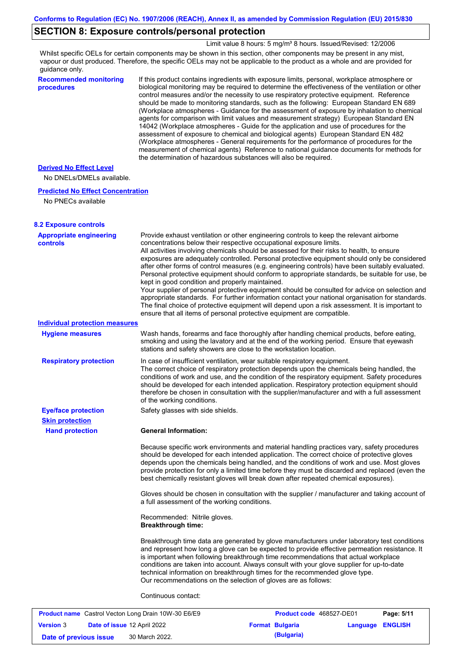## **SECTION 8: Exposure controls/personal protection**

Limit value 8 hours: 5 mg/m<sup>3</sup> 8 hours. Issued/Revised: 12/2006

Whilst specific OELs for certain components may be shown in this section, other components may be present in any mist, vapour or dust produced. Therefore, the specific OELs may not be applicable to the product as a whole and are provided for guidance only.

**Recommended monitoring procedures**

If this product contains ingredients with exposure limits, personal, workplace atmosphere or biological monitoring may be required to determine the effectiveness of the ventilation or other control measures and/or the necessity to use respiratory protective equipment. Reference should be made to monitoring standards, such as the following: European Standard EN 689 (Workplace atmospheres - Guidance for the assessment of exposure by inhalation to chemical agents for comparison with limit values and measurement strategy) European Standard EN 14042 (Workplace atmospheres - Guide for the application and use of procedures for the assessment of exposure to chemical and biological agents) European Standard EN 482 (Workplace atmospheres - General requirements for the performance of procedures for the measurement of chemical agents) Reference to national guidance documents for methods for the determination of hazardous substances will also be required.

#### **Derived No Effect Level**

No DNELs/DMELs available.

#### **Predicted No Effect Concentration**

No PNECs available

| concentrations below their respective occupational exposure limits.<br>All activities involving chemicals should be assessed for their risks to health, to ensure<br>exposures are adequately controlled. Personal protective equipment should only be considered<br>after other forms of control measures (e.g. engineering controls) have been suitably evaluated.<br>Personal protective equipment should conform to appropriate standards, be suitable for use, be<br>kept in good condition and properly maintained.<br>Your supplier of personal protective equipment should be consulted for advice on selection and<br>appropriate standards. For further information contact your national organisation for standards.<br>The final choice of protective equipment will depend upon a risk assessment. It is important to<br>ensure that all items of personal protective equipment are compatible.<br><b>Individual protection measures</b><br><b>Hygiene measures</b><br>Wash hands, forearms and face thoroughly after handling chemical products, before eating,<br>smoking and using the lavatory and at the end of the working period. Ensure that eyewash<br>stations and safety showers are close to the workstation location.<br>In case of insufficient ventilation, wear suitable respiratory equipment.<br><b>Respiratory protection</b><br>The correct choice of respiratory protection depends upon the chemicals being handled, the<br>conditions of work and use, and the condition of the respiratory equipment. Safety procedures<br>should be developed for each intended application. Respiratory protection equipment should<br>therefore be chosen in consultation with the supplier/manufacturer and with a full assessment<br>of the working conditions.<br><b>Eye/face protection</b><br>Safety glasses with side shields.<br><b>Skin protection</b><br><b>General Information:</b><br><b>Hand protection</b><br>Because specific work environments and material handling practices vary, safety procedures<br>should be developed for each intended application. The correct choice of protective gloves<br>depends upon the chemicals being handled, and the conditions of work and use. Most gloves<br>provide protection for only a limited time before they must be discarded and replaced (even the<br>best chemically resistant gloves will break down after repeated chemical exposures).<br>Gloves should be chosen in consultation with the supplier / manufacturer and taking account of<br>a full assessment of the working conditions.<br>Recommended: Nitrile gloves.<br><b>Breakthrough time:</b><br>Breakthrough time data are generated by glove manufacturers under laboratory test conditions<br>and represent how long a glove can be expected to provide effective permeation resistance. It<br>is important when following breakthrough time recommendations that actual workplace<br>conditions are taken into account. Always consult with your glove supplier for up-to-date<br>technical information on breakthrough times for the recommended glove type.<br>Our recommendations on the selection of gloves are as follows:<br>Continuous contact: | <b>8.2 Exposure controls</b><br><b>Appropriate engineering</b> | Provide exhaust ventilation or other engineering controls to keep the relevant airborne |  |
|-----------------------------------------------------------------------------------------------------------------------------------------------------------------------------------------------------------------------------------------------------------------------------------------------------------------------------------------------------------------------------------------------------------------------------------------------------------------------------------------------------------------------------------------------------------------------------------------------------------------------------------------------------------------------------------------------------------------------------------------------------------------------------------------------------------------------------------------------------------------------------------------------------------------------------------------------------------------------------------------------------------------------------------------------------------------------------------------------------------------------------------------------------------------------------------------------------------------------------------------------------------------------------------------------------------------------------------------------------------------------------------------------------------------------------------------------------------------------------------------------------------------------------------------------------------------------------------------------------------------------------------------------------------------------------------------------------------------------------------------------------------------------------------------------------------------------------------------------------------------------------------------------------------------------------------------------------------------------------------------------------------------------------------------------------------------------------------------------------------------------------------------------------------------------------------------------------------------------------------------------------------------------------------------------------------------------------------------------------------------------------------------------------------------------------------------------------------------------------------------------------------------------------------------------------------------------------------------------------------------------------------------------------------------------------------------------------------------------------------------------------------------------------------------------------------------------------------------------------------------------------------------------------------------------------------------------------------------------------------------------------------------------------------------------------------------------------------------------------------------------------------------------------------------------------------------------------------------|----------------------------------------------------------------|-----------------------------------------------------------------------------------------|--|
|                                                                                                                                                                                                                                                                                                                                                                                                                                                                                                                                                                                                                                                                                                                                                                                                                                                                                                                                                                                                                                                                                                                                                                                                                                                                                                                                                                                                                                                                                                                                                                                                                                                                                                                                                                                                                                                                                                                                                                                                                                                                                                                                                                                                                                                                                                                                                                                                                                                                                                                                                                                                                                                                                                                                                                                                                                                                                                                                                                                                                                                                                                                                                                                                                 | controls                                                       |                                                                                         |  |
|                                                                                                                                                                                                                                                                                                                                                                                                                                                                                                                                                                                                                                                                                                                                                                                                                                                                                                                                                                                                                                                                                                                                                                                                                                                                                                                                                                                                                                                                                                                                                                                                                                                                                                                                                                                                                                                                                                                                                                                                                                                                                                                                                                                                                                                                                                                                                                                                                                                                                                                                                                                                                                                                                                                                                                                                                                                                                                                                                                                                                                                                                                                                                                                                                 |                                                                |                                                                                         |  |
|                                                                                                                                                                                                                                                                                                                                                                                                                                                                                                                                                                                                                                                                                                                                                                                                                                                                                                                                                                                                                                                                                                                                                                                                                                                                                                                                                                                                                                                                                                                                                                                                                                                                                                                                                                                                                                                                                                                                                                                                                                                                                                                                                                                                                                                                                                                                                                                                                                                                                                                                                                                                                                                                                                                                                                                                                                                                                                                                                                                                                                                                                                                                                                                                                 |                                                                |                                                                                         |  |
|                                                                                                                                                                                                                                                                                                                                                                                                                                                                                                                                                                                                                                                                                                                                                                                                                                                                                                                                                                                                                                                                                                                                                                                                                                                                                                                                                                                                                                                                                                                                                                                                                                                                                                                                                                                                                                                                                                                                                                                                                                                                                                                                                                                                                                                                                                                                                                                                                                                                                                                                                                                                                                                                                                                                                                                                                                                                                                                                                                                                                                                                                                                                                                                                                 |                                                                |                                                                                         |  |
|                                                                                                                                                                                                                                                                                                                                                                                                                                                                                                                                                                                                                                                                                                                                                                                                                                                                                                                                                                                                                                                                                                                                                                                                                                                                                                                                                                                                                                                                                                                                                                                                                                                                                                                                                                                                                                                                                                                                                                                                                                                                                                                                                                                                                                                                                                                                                                                                                                                                                                                                                                                                                                                                                                                                                                                                                                                                                                                                                                                                                                                                                                                                                                                                                 |                                                                |                                                                                         |  |
|                                                                                                                                                                                                                                                                                                                                                                                                                                                                                                                                                                                                                                                                                                                                                                                                                                                                                                                                                                                                                                                                                                                                                                                                                                                                                                                                                                                                                                                                                                                                                                                                                                                                                                                                                                                                                                                                                                                                                                                                                                                                                                                                                                                                                                                                                                                                                                                                                                                                                                                                                                                                                                                                                                                                                                                                                                                                                                                                                                                                                                                                                                                                                                                                                 |                                                                |                                                                                         |  |
|                                                                                                                                                                                                                                                                                                                                                                                                                                                                                                                                                                                                                                                                                                                                                                                                                                                                                                                                                                                                                                                                                                                                                                                                                                                                                                                                                                                                                                                                                                                                                                                                                                                                                                                                                                                                                                                                                                                                                                                                                                                                                                                                                                                                                                                                                                                                                                                                                                                                                                                                                                                                                                                                                                                                                                                                                                                                                                                                                                                                                                                                                                                                                                                                                 |                                                                |                                                                                         |  |
|                                                                                                                                                                                                                                                                                                                                                                                                                                                                                                                                                                                                                                                                                                                                                                                                                                                                                                                                                                                                                                                                                                                                                                                                                                                                                                                                                                                                                                                                                                                                                                                                                                                                                                                                                                                                                                                                                                                                                                                                                                                                                                                                                                                                                                                                                                                                                                                                                                                                                                                                                                                                                                                                                                                                                                                                                                                                                                                                                                                                                                                                                                                                                                                                                 |                                                                |                                                                                         |  |
|                                                                                                                                                                                                                                                                                                                                                                                                                                                                                                                                                                                                                                                                                                                                                                                                                                                                                                                                                                                                                                                                                                                                                                                                                                                                                                                                                                                                                                                                                                                                                                                                                                                                                                                                                                                                                                                                                                                                                                                                                                                                                                                                                                                                                                                                                                                                                                                                                                                                                                                                                                                                                                                                                                                                                                                                                                                                                                                                                                                                                                                                                                                                                                                                                 |                                                                |                                                                                         |  |
|                                                                                                                                                                                                                                                                                                                                                                                                                                                                                                                                                                                                                                                                                                                                                                                                                                                                                                                                                                                                                                                                                                                                                                                                                                                                                                                                                                                                                                                                                                                                                                                                                                                                                                                                                                                                                                                                                                                                                                                                                                                                                                                                                                                                                                                                                                                                                                                                                                                                                                                                                                                                                                                                                                                                                                                                                                                                                                                                                                                                                                                                                                                                                                                                                 |                                                                |                                                                                         |  |
|                                                                                                                                                                                                                                                                                                                                                                                                                                                                                                                                                                                                                                                                                                                                                                                                                                                                                                                                                                                                                                                                                                                                                                                                                                                                                                                                                                                                                                                                                                                                                                                                                                                                                                                                                                                                                                                                                                                                                                                                                                                                                                                                                                                                                                                                                                                                                                                                                                                                                                                                                                                                                                                                                                                                                                                                                                                                                                                                                                                                                                                                                                                                                                                                                 |                                                                |                                                                                         |  |
|                                                                                                                                                                                                                                                                                                                                                                                                                                                                                                                                                                                                                                                                                                                                                                                                                                                                                                                                                                                                                                                                                                                                                                                                                                                                                                                                                                                                                                                                                                                                                                                                                                                                                                                                                                                                                                                                                                                                                                                                                                                                                                                                                                                                                                                                                                                                                                                                                                                                                                                                                                                                                                                                                                                                                                                                                                                                                                                                                                                                                                                                                                                                                                                                                 |                                                                |                                                                                         |  |
| <b>Product name</b> Castrol Vecton Long Drain 10W-30 E6/E9<br>Product code 468527-DE01<br>Page: 5/11                                                                                                                                                                                                                                                                                                                                                                                                                                                                                                                                                                                                                                                                                                                                                                                                                                                                                                                                                                                                                                                                                                                                                                                                                                                                                                                                                                                                                                                                                                                                                                                                                                                                                                                                                                                                                                                                                                                                                                                                                                                                                                                                                                                                                                                                                                                                                                                                                                                                                                                                                                                                                                                                                                                                                                                                                                                                                                                                                                                                                                                                                                            |                                                                |                                                                                         |  |

| <b>Version 3</b>       | <b>Date of issue 12 April 2022</b> |                | <b>Format Bulgaria</b> | Language ENGLISH |  |
|------------------------|------------------------------------|----------------|------------------------|------------------|--|
| Date of previous issue |                                    | 30 March 2022. | (Bulgaria)             |                  |  |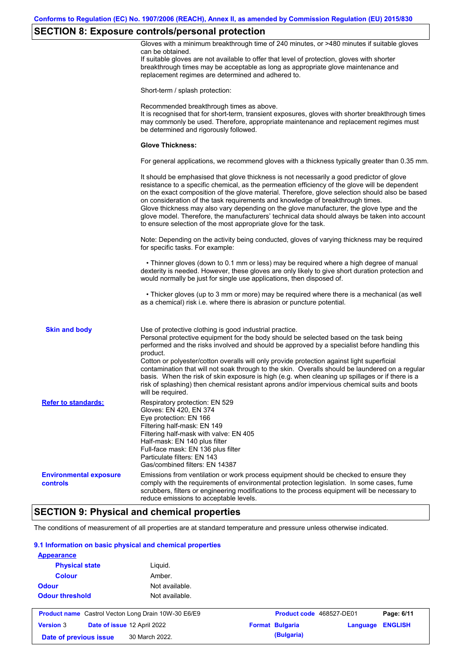# **SECTION 8: Exposure controls/personal protection**

|                                                  | Gloves with a minimum breakthrough time of 240 minutes, or >480 minutes if suitable gloves<br>can be obtained.<br>If suitable gloves are not available to offer that level of protection, gloves with shorter<br>breakthrough times may be acceptable as long as appropriate glove maintenance and<br>replacement regimes are determined and adhered to.                                                                                                                                                                                                                                                                                                                              |
|--------------------------------------------------|---------------------------------------------------------------------------------------------------------------------------------------------------------------------------------------------------------------------------------------------------------------------------------------------------------------------------------------------------------------------------------------------------------------------------------------------------------------------------------------------------------------------------------------------------------------------------------------------------------------------------------------------------------------------------------------|
|                                                  | Short-term / splash protection:                                                                                                                                                                                                                                                                                                                                                                                                                                                                                                                                                                                                                                                       |
|                                                  | Recommended breakthrough times as above.<br>It is recognised that for short-term, transient exposures, gloves with shorter breakthrough times<br>may commonly be used. Therefore, appropriate maintenance and replacement regimes must<br>be determined and rigorously followed.                                                                                                                                                                                                                                                                                                                                                                                                      |
|                                                  | <b>Glove Thickness:</b>                                                                                                                                                                                                                                                                                                                                                                                                                                                                                                                                                                                                                                                               |
|                                                  | For general applications, we recommend gloves with a thickness typically greater than 0.35 mm.                                                                                                                                                                                                                                                                                                                                                                                                                                                                                                                                                                                        |
|                                                  | It should be emphasised that glove thickness is not necessarily a good predictor of glove<br>resistance to a specific chemical, as the permeation efficiency of the glove will be dependent<br>on the exact composition of the glove material. Therefore, glove selection should also be based<br>on consideration of the task requirements and knowledge of breakthrough times.<br>Glove thickness may also vary depending on the glove manufacturer, the glove type and the<br>glove model. Therefore, the manufacturers' technical data should always be taken into account<br>to ensure selection of the most appropriate glove for the task.                                     |
|                                                  | Note: Depending on the activity being conducted, gloves of varying thickness may be required<br>for specific tasks. For example:                                                                                                                                                                                                                                                                                                                                                                                                                                                                                                                                                      |
|                                                  | • Thinner gloves (down to 0.1 mm or less) may be required where a high degree of manual<br>dexterity is needed. However, these gloves are only likely to give short duration protection and<br>would normally be just for single use applications, then disposed of.                                                                                                                                                                                                                                                                                                                                                                                                                  |
|                                                  | • Thicker gloves (up to 3 mm or more) may be required where there is a mechanical (as well<br>as a chemical) risk i.e. where there is abrasion or puncture potential.                                                                                                                                                                                                                                                                                                                                                                                                                                                                                                                 |
| <b>Skin and body</b>                             | Use of protective clothing is good industrial practice.<br>Personal protective equipment for the body should be selected based on the task being<br>performed and the risks involved and should be approved by a specialist before handling this<br>product.<br>Cotton or polyester/cotton overalls will only provide protection against light superficial<br>contamination that will not soak through to the skin. Overalls should be laundered on a regular<br>basis. When the risk of skin exposure is high (e.g. when cleaning up spillages or if there is a<br>risk of splashing) then chemical resistant aprons and/or impervious chemical suits and boots<br>will be required. |
| <b>Refer to standards:</b>                       | Respiratory protection: EN 529<br>Gloves: EN 420, EN 374<br>Eye protection: EN 166<br>Filtering half-mask: EN 149<br>Filtering half-mask with valve: EN 405<br>Half-mask: EN 140 plus filter<br>Full-face mask: EN 136 plus filter<br>Particulate filters: EN 143<br>Gas/combined filters: EN 14387                                                                                                                                                                                                                                                                                                                                                                                   |
| <b>Environmental exposure</b><br><b>controls</b> | Emissions from ventilation or work process equipment should be checked to ensure they<br>comply with the requirements of environmental protection legislation. In some cases, fume<br>scrubbers, filters or engineering modifications to the process equipment will be necessary to<br>reduce emissions to acceptable levels.                                                                                                                                                                                                                                                                                                                                                         |
|                                                  | <b>SECTION 9: Physical and chemical properties</b>                                                                                                                                                                                                                                                                                                                                                                                                                                                                                                                                                                                                                                    |
|                                                  |                                                                                                                                                                                                                                                                                                                                                                                                                                                                                                                                                                                                                                                                                       |

The conditions of measurement of all properties are at standard temperature and pressure unless otherwise indicated.

#### **9.1 Information on basic physical and chemical properties**

| Liquid.                                  |                                                                                                             |            |                        |                          |
|------------------------------------------|-------------------------------------------------------------------------------------------------------------|------------|------------------------|--------------------------|
| Amber.                                   |                                                                                                             |            |                        |                          |
| Not available.                           |                                                                                                             |            |                        |                          |
| Not available.<br><b>Odour threshold</b> |                                                                                                             |            |                        |                          |
|                                          |                                                                                                             |            |                        | Page: 6/11               |
|                                          |                                                                                                             |            | Language               | <b>ENGLISH</b>           |
|                                          |                                                                                                             | (Bulgaria) |                        |                          |
|                                          | <b>Product name</b> Castrol Vecton Long Drain 10W-30 E6/E9<br>Date of issue 12 April 2022<br>30 March 2022. |            | <b>Format Bulgaria</b> | Product code 468527-DE01 |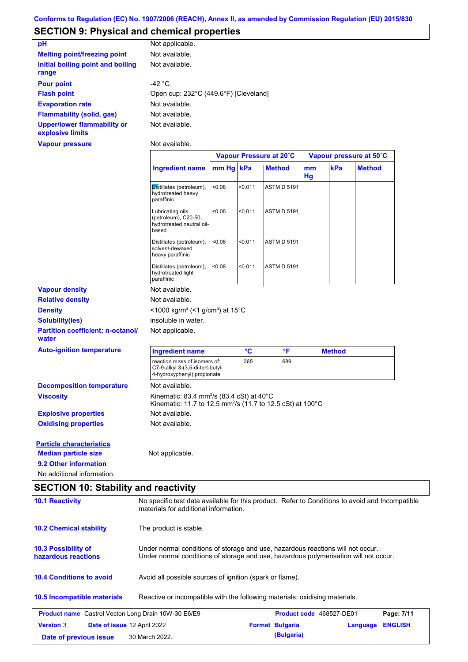## **SECTION 9: Physical and chemical properties**

| pH                                                     | Not applicable.                       |
|--------------------------------------------------------|---------------------------------------|
| <b>Melting point/freezing point</b>                    | Not available.                        |
| Initial boiling point and boiling<br>range             | Not available.                        |
| <b>Pour point</b>                                      | -42 $^{\circ}$ C                      |
| <b>Flash point</b>                                     | Open cup: 232°C (449.6°F) [Cleveland] |
| <b>Evaporation rate</b>                                | Not available.                        |
| <b>Flammability (solid, gas)</b>                       | Not available.                        |
| <b>Upper/lower flammability or</b><br>explosive limits | Not available.                        |

**Vapour pressure**

Not available.

|                                                   |                                                                                                                                           | Vapour Pressure at 20°C |                 |                    | Vapour pressure at 50°C |               |               |
|---------------------------------------------------|-------------------------------------------------------------------------------------------------------------------------------------------|-------------------------|-----------------|--------------------|-------------------------|---------------|---------------|
|                                                   | Ingredient name mm Hg kPa                                                                                                                 |                         |                 | <b>Method</b>      | mm<br>Hg                | kPa           | <b>Method</b> |
|                                                   | Distillates (petroleum),<br>hydrotreated heavy<br>paraffinic                                                                              | < 0.08                  | < 0.011         | <b>ASTM D 5191</b> |                         |               |               |
|                                                   | Lubricating oils<br>(petroleum), C20-50,<br>hydrotreated neutral oil-<br>based                                                            | < 0.08                  | < 0.011         | <b>ASTM D 5191</b> |                         |               |               |
|                                                   | Distillates (petroleum),<br>solvent-dewaxed<br>heavy paraffinic                                                                           | < 0.08                  | < 0.011         | <b>ASTM D 5191</b> |                         |               |               |
|                                                   | Distillates (petroleum),<br>hydrotreated light<br>paraffinic                                                                              | < 0.08                  | < 0.011         | <b>ASTM D 5191</b> |                         |               |               |
| <b>Vapour density</b>                             | Not available.                                                                                                                            |                         |                 |                    |                         |               |               |
| <b>Relative density</b>                           | Not available.                                                                                                                            |                         |                 |                    |                         |               |               |
| <b>Density</b>                                    | <1000 kg/m <sup>3</sup> (<1 g/cm <sup>3</sup> ) at 15 <sup>°</sup> C                                                                      |                         |                 |                    |                         |               |               |
| <b>Solubility(ies)</b>                            | insoluble in water.                                                                                                                       |                         |                 |                    |                         |               |               |
| <b>Partition coefficient: n-octanol/</b><br>water | Not applicable.                                                                                                                           |                         |                 |                    |                         |               |               |
| <b>Auto-ignition temperature</b>                  | <b>Ingredient name</b>                                                                                                                    |                         | $\rm ^{\circ}C$ | °F                 |                         | <b>Method</b> |               |
|                                                   | reaction mass of isomers of:<br>C7-9-alkyl 3-(3,5-di-tert-butyl-<br>4-hydroxyphenyl) propionate                                           |                         | 365             | 689                |                         |               |               |
| <b>Decomposition temperature</b>                  | Not available.                                                                                                                            |                         |                 |                    |                         |               |               |
| <b>Viscosity</b>                                  | Kinematic: 83.4 mm <sup>2</sup> /s (83.4 cSt) at 40 $\degree$ C<br>Kinematic: 11.7 to 12.5 mm <sup>2</sup> /s (11.7 to 12.5 cSt) at 100°C |                         |                 |                    |                         |               |               |
| <b>Explosive properties</b>                       | Not available.                                                                                                                            |                         |                 |                    |                         |               |               |
| <b>Oxidising properties</b>                       | Not available.                                                                                                                            |                         |                 |                    |                         |               |               |
| <b>Particle characteristics</b>                   |                                                                                                                                           |                         |                 |                    |                         |               |               |
| <b>Median particle size</b>                       | Not applicable.                                                                                                                           |                         |                 |                    |                         |               |               |
| 9.2 Other information                             |                                                                                                                                           |                         |                 |                    |                         |               |               |
| No additional information.                        |                                                                                                                                           |                         |                 |                    |                         |               |               |
|                                                   |                                                                                                                                           |                         |                 |                    |                         |               |               |

# **SECTION 10: Stability and reactivity**

| <b>10.1 Reactivity</b>                                                                                                                                                                                                       | No specific test data available for this product. Refer to Conditions to avoid and Incompatible<br>materials for additional information. |                        |                                 |                |  |  |
|------------------------------------------------------------------------------------------------------------------------------------------------------------------------------------------------------------------------------|------------------------------------------------------------------------------------------------------------------------------------------|------------------------|---------------------------------|----------------|--|--|
| <b>10.2 Chemical stability</b>                                                                                                                                                                                               | The product is stable.                                                                                                                   |                        |                                 |                |  |  |
| <b>10.3 Possibility of</b><br>Under normal conditions of storage and use, hazardous reactions will not occur.<br>hazardous reactions<br>Under normal conditions of storage and use, hazardous polymerisation will not occur. |                                                                                                                                          |                        |                                 |                |  |  |
| <b>10.4 Conditions to avoid</b>                                                                                                                                                                                              | Avoid all possible sources of ignition (spark or flame).                                                                                 |                        |                                 |                |  |  |
| 10.5 Incompatible materials                                                                                                                                                                                                  | Reactive or incompatible with the following materials: oxidising materials.                                                              |                        |                                 |                |  |  |
| <b>Product name</b> Castrol Vecton Long Drain 10W-30 E6/E9                                                                                                                                                                   |                                                                                                                                          |                        | <b>Product code</b> 468527-DE01 | Page: 7/11     |  |  |
| <b>Version 3</b><br>Date of issue 12 April 2022                                                                                                                                                                              |                                                                                                                                          | <b>Format Bulgaria</b> | Language                        | <b>ENGLISH</b> |  |  |
| Date of previous issue                                                                                                                                                                                                       | 30 March 2022.                                                                                                                           | (Bulgaria)             |                                 |                |  |  |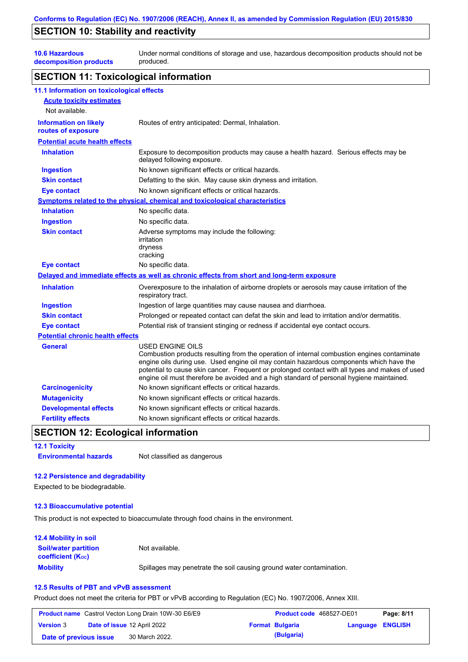## **SECTION 10: Stability and reactivity**

**10.6 Hazardous** 

**decomposition products** Under normal conditions of storage and use, hazardous decomposition products should not be produced.

### **SECTION 11: Toxicological information**

| 11.1 Information on toxicological effects          |                                                                                                                                                                                                                                                                                                                                                                                                                 |
|----------------------------------------------------|-----------------------------------------------------------------------------------------------------------------------------------------------------------------------------------------------------------------------------------------------------------------------------------------------------------------------------------------------------------------------------------------------------------------|
| <b>Acute toxicity estimates</b>                    |                                                                                                                                                                                                                                                                                                                                                                                                                 |
| Not available.                                     |                                                                                                                                                                                                                                                                                                                                                                                                                 |
| <b>Information on likely</b><br>routes of exposure | Routes of entry anticipated: Dermal, Inhalation.                                                                                                                                                                                                                                                                                                                                                                |
| <b>Potential acute health effects</b>              |                                                                                                                                                                                                                                                                                                                                                                                                                 |
| <b>Inhalation</b>                                  | Exposure to decomposition products may cause a health hazard. Serious effects may be<br>delayed following exposure.                                                                                                                                                                                                                                                                                             |
| <b>Ingestion</b>                                   | No known significant effects or critical hazards.                                                                                                                                                                                                                                                                                                                                                               |
| <b>Skin contact</b>                                | Defatting to the skin. May cause skin dryness and irritation.                                                                                                                                                                                                                                                                                                                                                   |
| <b>Eye contact</b>                                 | No known significant effects or critical hazards.                                                                                                                                                                                                                                                                                                                                                               |
|                                                    | <b>Symptoms related to the physical, chemical and toxicological characteristics</b>                                                                                                                                                                                                                                                                                                                             |
| <b>Inhalation</b>                                  | No specific data.                                                                                                                                                                                                                                                                                                                                                                                               |
| <b>Ingestion</b>                                   | No specific data.                                                                                                                                                                                                                                                                                                                                                                                               |
| <b>Skin contact</b>                                | Adverse symptoms may include the following:<br>irritation<br>dryness<br>cracking                                                                                                                                                                                                                                                                                                                                |
| <b>Eye contact</b>                                 | No specific data.                                                                                                                                                                                                                                                                                                                                                                                               |
|                                                    | Delayed and immediate effects as well as chronic effects from short and long-term exposure                                                                                                                                                                                                                                                                                                                      |
| <b>Inhalation</b>                                  | Overexposure to the inhalation of airborne droplets or aerosols may cause irritation of the<br>respiratory tract.                                                                                                                                                                                                                                                                                               |
| <b>Ingestion</b>                                   | Ingestion of large quantities may cause nausea and diarrhoea.                                                                                                                                                                                                                                                                                                                                                   |
| <b>Skin contact</b>                                | Prolonged or repeated contact can defat the skin and lead to irritation and/or dermatitis.                                                                                                                                                                                                                                                                                                                      |
| <b>Eye contact</b>                                 | Potential risk of transient stinging or redness if accidental eye contact occurs.                                                                                                                                                                                                                                                                                                                               |
| <b>Potential chronic health effects</b>            |                                                                                                                                                                                                                                                                                                                                                                                                                 |
| General                                            | <b>USED ENGINE OILS</b><br>Combustion products resulting from the operation of internal combustion engines contaminate<br>engine oils during use. Used engine oil may contain hazardous components which have the<br>potential to cause skin cancer. Frequent or prolonged contact with all types and makes of used<br>engine oil must therefore be avoided and a high standard of personal hygiene maintained. |
| <b>Carcinogenicity</b>                             | No known significant effects or critical hazards.                                                                                                                                                                                                                                                                                                                                                               |
| <b>Mutagenicity</b>                                | No known significant effects or critical hazards.                                                                                                                                                                                                                                                                                                                                                               |
| <b>Developmental effects</b>                       | No known significant effects or critical hazards.                                                                                                                                                                                                                                                                                                                                                               |
| <b>Fertility effects</b>                           | No known significant effects or critical hazards.                                                                                                                                                                                                                                                                                                                                                               |

### **SECTION 12: Ecological information**

**12.1 Toxicity**

**Environmental hazards** Not classified as dangerous

#### **12.2 Persistence and degradability**

Expected to be biodegradable.

#### **12.3 Bioaccumulative potential**

This product is not expected to bioaccumulate through food chains in the environment.

#### **Mobility** Spillages may penetrate the soil causing ground water contamination. **12.4 Mobility in soil Soil/water partition coefficient (KOC)** Not available.

## **12.5 Results of PBT and vPvB assessment**

Product does not meet the criteria for PBT or vPvB according to Regulation (EC) No. 1907/2006, Annex XIII.

|                        | <b>Product name</b> Castrol Vecton Long Drain 10W-30 E6/E9 | <b>Product code</b> 468527-DE01 |                         | Page: 8/11 |
|------------------------|------------------------------------------------------------|---------------------------------|-------------------------|------------|
| <b>Version 3</b>       | <b>Date of issue 12 April 2022</b>                         | <b>Format Bulgaria</b>          | <b>Language ENGLISH</b> |            |
| Date of previous issue | 30 March 2022.                                             | (Bulgaria)                      |                         |            |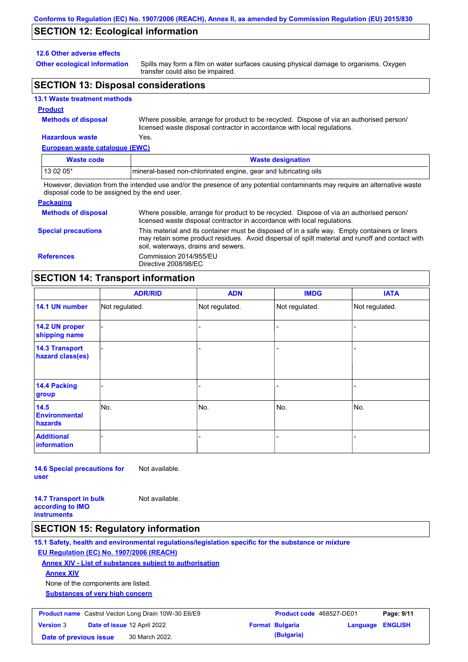## **SECTION 12: Ecological information**

#### **12.6 Other adverse effects**

**Other ecological information**

Spills may form a film on water surfaces causing physical damage to organisms. Oxygen transfer could also be impaired.

## **SECTION 13: Disposal considerations**

#### **13.1 Waste treatment methods**

#### **Product**

**Methods of disposal**

Where possible, arrange for product to be recycled. Dispose of via an authorised person/ licensed waste disposal contractor in accordance with local regulations.

### **Hazardous waste** Yes.

| European waste catalogue (EWC)                                                                                              |                                                                  |  |  |  |  |
|-----------------------------------------------------------------------------------------------------------------------------|------------------------------------------------------------------|--|--|--|--|
| <b>Waste code</b>                                                                                                           | <b>Waste designation</b>                                         |  |  |  |  |
| 13 02 05*                                                                                                                   | Imineral-based non-chlorinated engine, gear and lubricating oils |  |  |  |  |
| However, deviation from the intended use and/or the presence of any potential contaminants may require an alternative waste |                                                                  |  |  |  |  |

disposal code to be assigned by the end user.

| <b>Packaging</b>           |                                                                                                                                                                                                                                         |
|----------------------------|-----------------------------------------------------------------------------------------------------------------------------------------------------------------------------------------------------------------------------------------|
| <b>Methods of disposal</b> | Where possible, arrange for product to be recycled. Dispose of via an authorised person/<br>licensed waste disposal contractor in accordance with local regulations.                                                                    |
| <b>Special precautions</b> | This material and its container must be disposed of in a safe way. Empty containers or liners<br>may retain some product residues. Avoid dispersal of spilt material and runoff and contact with<br>soil, waterways, drains and sewers. |
| <b>References</b>          | Commission 2014/955/EU<br>Directive 2008/98/EC                                                                                                                                                                                          |

## **SECTION 14: Transport information**

|                                           | <b>ADR/RID</b> | <b>ADN</b>     | <b>IMDG</b>    | <b>IATA</b>    |  |  |
|-------------------------------------------|----------------|----------------|----------------|----------------|--|--|
| 14.1 UN number                            | Not regulated. | Not regulated. | Not regulated. | Not regulated. |  |  |
| 14.2 UN proper<br>shipping name           |                |                |                |                |  |  |
| <b>14.3 Transport</b><br>hazard class(es) |                |                |                |                |  |  |
| 14.4 Packing<br>group                     |                |                |                |                |  |  |
| 14.5<br><b>Environmental</b><br>hazards   | No.            | No.            | No.            | No.            |  |  |
| <b>Additional</b><br><b>information</b>   |                |                |                |                |  |  |

**14.6 Special precautions for user** Not available.

**14.7 Transport in bulk according to IMO instruments**

### **SECTION 15: Regulatory information**

**15.1 Safety, health and environmental regulations/legislation specific for the substance or mixture**

### **EU Regulation (EC) No. 1907/2006 (REACH)**

**Annex XIV - List of substances subject to authorisation**

Not available.

**Annex XIV**

None of the components are listed.

**Substances of very high concern**

| <b>Product name</b> Castrol Vecton Long Drain 10W-30 E6/E9 |  | <b>Product code</b> 468527-DE01    |  | Page: 9/11             |                         |  |
|------------------------------------------------------------|--|------------------------------------|--|------------------------|-------------------------|--|
| <b>Version 3</b>                                           |  | <b>Date of issue 12 April 2022</b> |  | <b>Format Bulgaria</b> | <b>Language ENGLISH</b> |  |
| Date of previous issue                                     |  | 30 March 2022.                     |  | (Bulgaria)             |                         |  |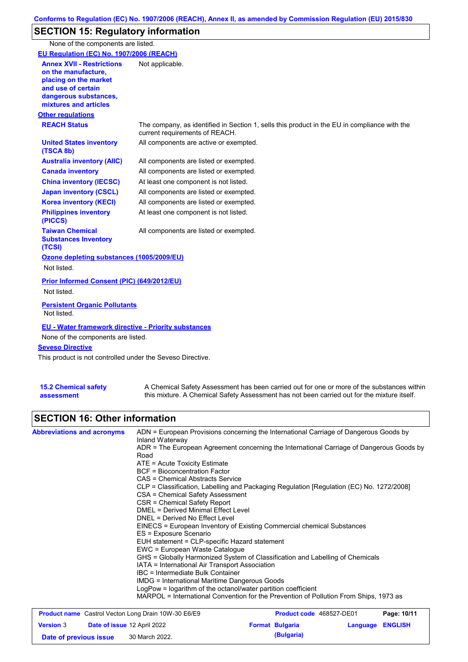# **SECTION 15: Regulatory information**

None of the components are listed.

| EU Regulation (EC) No. 1907/2006 (REACH)                                                                                                                                                   |                                                                                                                                |
|--------------------------------------------------------------------------------------------------------------------------------------------------------------------------------------------|--------------------------------------------------------------------------------------------------------------------------------|
| <b>Annex XVII - Restrictions</b><br>on the manufacture.<br>placing on the market<br>and use of certain<br>dangerous substances,<br>mixtures and articles                                   | Not applicable.                                                                                                                |
| <b>Other regulations</b>                                                                                                                                                                   |                                                                                                                                |
| <b>REACH Status</b>                                                                                                                                                                        | The company, as identified in Section 1, sells this product in the EU in compliance with the<br>current requirements of REACH. |
| <b>United States inventory</b><br>(TSCA 8b)                                                                                                                                                | All components are active or exempted.                                                                                         |
| <b>Australia inventory (AIIC)</b>                                                                                                                                                          | All components are listed or exempted.                                                                                         |
| <b>Canada inventory</b>                                                                                                                                                                    | All components are listed or exempted.                                                                                         |
| <b>China inventory (IECSC)</b>                                                                                                                                                             | At least one component is not listed.                                                                                          |
| <b>Japan inventory (CSCL)</b>                                                                                                                                                              | All components are listed or exempted.                                                                                         |
| <b>Korea inventory (KECI)</b>                                                                                                                                                              | All components are listed or exempted.                                                                                         |
| <b>Philippines inventory</b><br>(PICCS)                                                                                                                                                    | At least one component is not listed.                                                                                          |
| <b>Taiwan Chemical</b><br><b>Substances Inventory</b><br>(TCSI)                                                                                                                            | All components are listed or exempted.                                                                                         |
| Ozone depleting substances (1005/2009/EU)<br>Not listed.                                                                                                                                   |                                                                                                                                |
| <b>Prior Informed Consent (PIC) (649/2012/EU)</b><br>Not listed.                                                                                                                           |                                                                                                                                |
| <b>Persistent Organic Pollutants</b><br>Not listed.                                                                                                                                        |                                                                                                                                |
| <b>EU - Water framework directive - Priority substances</b><br>None of the components are listed.<br><b>Seveso Directive</b><br>This product is not controlled under the Seveso Directive. |                                                                                                                                |
|                                                                                                                                                                                            |                                                                                                                                |

| <b>15.2 Chemical safety</b> | A Chemical Safety Assessment has been carried out for one or more of the substances within  |
|-----------------------------|---------------------------------------------------------------------------------------------|
| assessment                  | this mixture. A Chemical Safety Assessment has not been carried out for the mixture itself. |

# **SECTION 16: Other information**

| <b>Abbreviations and acronyms</b> | ADN = European Provisions concerning the International Carriage of Dangerous Goods by<br>Inland Waterway |
|-----------------------------------|----------------------------------------------------------------------------------------------------------|
|                                   | ADR = The European Agreement concerning the International Carriage of Dangerous Goods by                 |
|                                   | Road                                                                                                     |
|                                   | $ATE = Acute Toxicity Estimate$                                                                          |
|                                   | <b>BCF</b> = Bioconcentration Factor                                                                     |
|                                   | CAS = Chemical Abstracts Service                                                                         |
|                                   | CLP = Classification, Labelling and Packaging Regulation [Regulation (EC) No. 1272/2008]                 |
|                                   | CSA = Chemical Safety Assessment                                                                         |
|                                   | CSR = Chemical Safety Report                                                                             |
|                                   | <b>DMEL = Derived Minimal Effect Level</b>                                                               |
|                                   | DNEL = Derived No Effect Level                                                                           |
|                                   | EINECS = European Inventory of Existing Commercial chemical Substances                                   |
|                                   | ES = Exposure Scenario                                                                                   |
|                                   | EUH statement = CLP-specific Hazard statement                                                            |
|                                   | EWC = European Waste Catalogue                                                                           |
|                                   | GHS = Globally Harmonized System of Classification and Labelling of Chemicals                            |
|                                   | IATA = International Air Transport Association                                                           |
|                                   | IBC = Intermediate Bulk Container                                                                        |
|                                   | IMDG = International Maritime Dangerous Goods                                                            |
|                                   | LogPow = logarithm of the octanol/water partition coefficient                                            |
|                                   | MARPOL = International Convention for the Prevention of Pollution From Ships, 1973 as                    |

| <b>Product name</b> Castrol Vecton Long Drain 10W-30 E6/E9 |  |                                    | <b>Product code</b> 468527-DE01 |                        | Page: 10/11      |  |
|------------------------------------------------------------|--|------------------------------------|---------------------------------|------------------------|------------------|--|
| <b>Version 3</b>                                           |  | <b>Date of issue 12 April 2022</b> |                                 | <b>Format Bulgaria</b> | Language ENGLISH |  |
| Date of previous issue                                     |  | 30 March 2022.                     |                                 | (Bulgaria)             |                  |  |